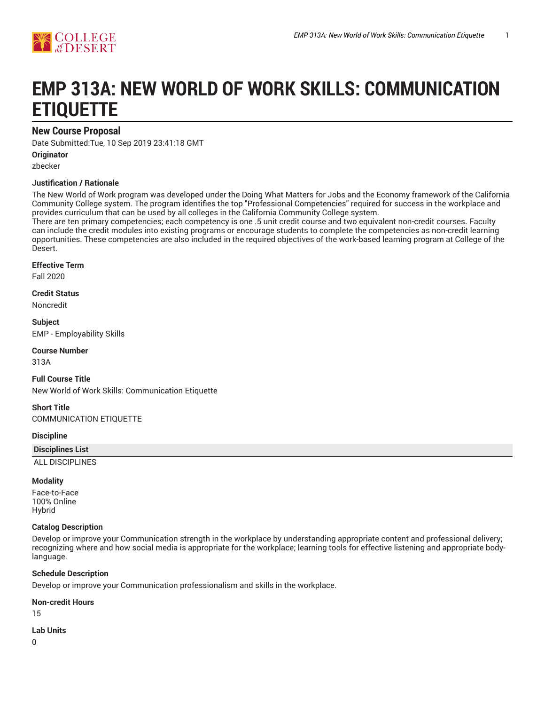

# **EMP 313A: NEW WORLD OF WORK SKILLS: COMMUNICATION ETIQUETTE**

## **New Course Proposal**

Date Submitted:Tue, 10 Sep 2019 23:41:18 GMT

**Originator**

zbecker

#### **Justification / Rationale**

The New World of Work program was developed under the Doing What Matters for Jobs and the Economy framework of the California Community College system. The program identifies the top "Professional Competencies" required for success in the workplace and provides curriculum that can be used by all colleges in the California Community College system.

There are ten primary competencies; each competency is one .5 unit credit course and two equivalent non-credit courses. Faculty can include the credit modules into existing programs or encourage students to complete the competencies as non-credit learning opportunities. These competencies are also included in the required objectives of the work-based learning program at College of the Desert.

#### **Effective Term**

Fall 2020

**Credit Status** Noncredit

**Subject** EMP - Employability Skills

**Course Number**

313A

**Full Course Title** New World of Work Skills: Communication Etiquette

**Short Title** COMMUNICATION ETIQUETTE

**Discipline**

**Disciplines List**

ALL DISCIPLINES

#### **Modality**

Face-to-Face 100% Online Hybrid

#### **Catalog Description**

Develop or improve your Communication strength in the workplace by understanding appropriate content and professional delivery; recognizing where and how social media is appropriate for the workplace; learning tools for effective listening and appropriate bodylanguage.

#### **Schedule Description**

Develop or improve your Communication professionalism and skills in the workplace.

**Non-credit Hours**

15

**Lab Units**

0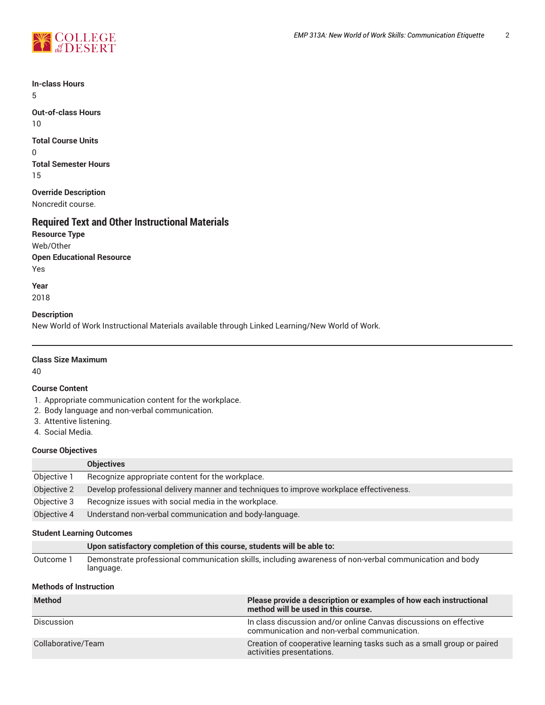

**In-class Hours** 5

**Out-of-class Hours** 10

**Total Course Units** 0 **Total Semester Hours** 15

**Override Description** Noncredit course.

### **Required Text and Other Instructional Materials**

**Resource Type** Web/Other **Open Educational Resource** Yes

**Year** 2018

#### **Description**

New World of Work Instructional Materials available through Linked Learning/New World of Work.

#### **Class Size Maximum**

40

#### **Course Content**

- 1. Appropriate communication content for the workplace.
- 2. Body language and non-verbal communication.
- 3. Attentive listening.
- 4. Social Media.

#### **Course Objectives**

|             | <b>Objectives</b>                                                                       |
|-------------|-----------------------------------------------------------------------------------------|
| Objective 1 | Recognize appropriate content for the workplace.                                        |
| Objective 2 | Develop professional delivery manner and techniques to improve workplace effectiveness. |
| Objective 3 | Recognize issues with social media in the workplace.                                    |
| Objective 4 | Understand non-verbal communication and body-language.                                  |

#### **Student Learning Outcomes**

|           | Upon satisfactory completion of this course, students will be able to:                                               |
|-----------|----------------------------------------------------------------------------------------------------------------------|
| Outcome 1 | Demonstrate professional communication skills, including awareness of non-verbal communication and body<br>language. |

#### **Methods of Instruction**

| <b>Method</b>      | Please provide a description or examples of how each instructional<br>method will be used in this course.        |
|--------------------|------------------------------------------------------------------------------------------------------------------|
| Discussion         | In class discussion and/or online Canvas discussions on effective<br>communication and non-verbal communication. |
| Collaborative/Team | Creation of cooperative learning tasks such as a small group or paired<br>activities presentations.              |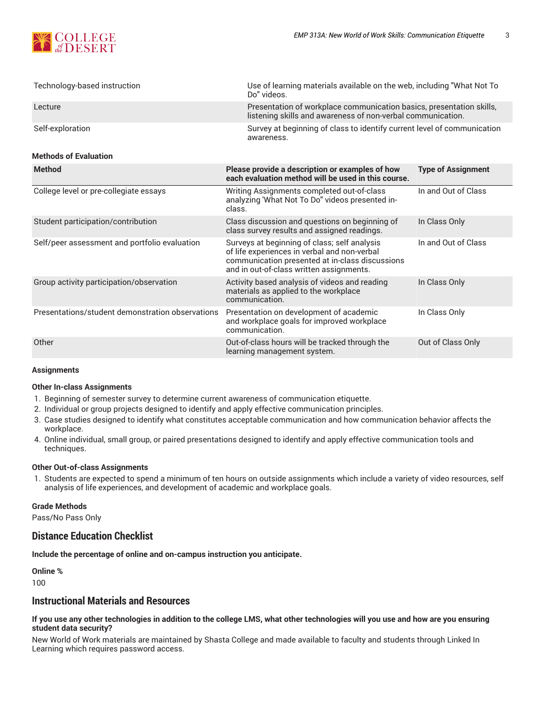

| Technology-based instruction                  | Use of learning materials available on the web, including "What Not To<br>Do" videos.                                                                                                       |                           |  |
|-----------------------------------------------|---------------------------------------------------------------------------------------------------------------------------------------------------------------------------------------------|---------------------------|--|
| Lecture                                       | Presentation of workplace communication basics, presentation skills,<br>listening skills and awareness of non-verbal communication.                                                         |                           |  |
| Self-exploration                              | Survey at beginning of class to identify current level of communication<br>awareness.                                                                                                       |                           |  |
| <b>Methods of Evaluation</b>                  |                                                                                                                                                                                             |                           |  |
| <b>Method</b>                                 | Please provide a description or examples of how<br>each evaluation method will be used in this course.                                                                                      | <b>Type of Assignment</b> |  |
| College level or pre-collegiate essays        | Writing Assignments completed out-of-class<br>analyzing 'What Not To Do" videos presented in-<br>class.                                                                                     | In and Out of Class       |  |
| Student participation/contribution            | Class discussion and questions on beginning of<br>class survey results and assigned readings.                                                                                               | In Class Only             |  |
| Self/peer assessment and portfolio evaluation | Surveys at beginning of class; self analysis<br>of life experiences in verbal and non-verbal<br>communication presented at in-class discussions<br>and in out-of-class written assignments. | In and Out of Class       |  |
| Group activity participation/observation      | Activity based analysis of videos and reading                                                                                                                                               | In Class Only             |  |

materials as applied to the workplace

| Presentations/student demonstration observations | Presentation on development of academic<br>and workplace goals for improved workplace<br>communication. | In Class Only     |
|--------------------------------------------------|---------------------------------------------------------------------------------------------------------|-------------------|
| Other                                            | Out-of-class hours will be tracked through the<br>learning management system.                           | Out of Class Only |
| $\lambda$ aaigunnanta                            |                                                                                                         |                   |

communication.

## **Assignments**

#### **Other In-class Assignments**

- 1. Beginning of semester survey to determine current awareness of communication etiquette.
- 2. Individual or group projects designed to identify and apply effective communication principles.
- 3. Case studies designed to identify what constitutes acceptable communication and how communication behavior affects the workplace.
- 4. Online individual, small group, or paired presentations designed to identify and apply effective communication tools and techniques.

#### **Other Out-of-class Assignments**

1. Students are expected to spend a minimum of ten hours on outside assignments which include a variety of video resources, self analysis of life experiences, and development of academic and workplace goals.

#### **Grade Methods**

Pass/No Pass Only

## **Distance Education Checklist**

**Include the percentage of online and on-campus instruction you anticipate.**

**Online %** 100

## **Instructional Materials and Resources**

#### If you use any other technologies in addition to the college LMS, what other technologies will you use and how are you ensuring **student data security?**

New World of Work materials are maintained by Shasta College and made available to faculty and students through Linked In Learning which requires password access.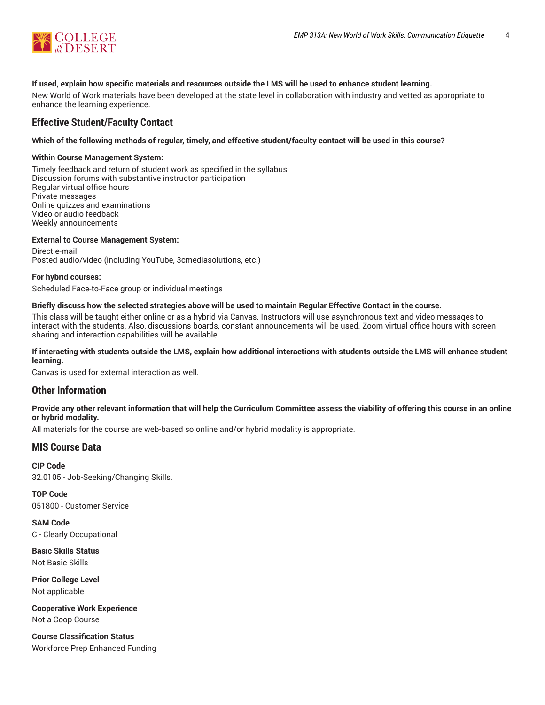

#### **If used, explain how specific materials and resources outside the LMS will be used to enhance student learning.**

New World of Work materials have been developed at the state level in collaboration with industry and vetted as appropriate to enhance the learning experience.

### **Effective Student/Faculty Contact**

#### Which of the following methods of regular, timely, and effective student/faculty contact will be used in this course?

#### **Within Course Management System:**

Timely feedback and return of student work as specified in the syllabus Discussion forums with substantive instructor participation Regular virtual office hours Private messages Online quizzes and examinations Video or audio feedback Weekly announcements

#### **External to Course Management System:**

Direct e-mail Posted audio/video (including YouTube, 3cmediasolutions, etc.)

#### **For hybrid courses:**

Scheduled Face-to-Face group or individual meetings

#### Briefly discuss how the selected strategies above will be used to maintain Regular Effective Contact in the course.

This class will be taught either online or as a hybrid via Canvas. Instructors will use asynchronous text and video messages to interact with the students. Also, discussions boards, constant announcements will be used. Zoom virtual office hours with screen sharing and interaction capabilities will be available.

#### **If interacting with students outside the LMS, explain how additional interactions with students outside the LMS will enhance student learning.**

Canvas is used for external interaction as well.

#### **Other Information**

#### Provide any other relevant information that will help the Curriculum Committee assess the viability of offering this course in an online **or hybrid modality.**

All materials for the course are web-based so online and/or hybrid modality is appropriate.

#### **MIS Course Data**

**CIP Code** 32.0105 - Job-Seeking/Changing Skills.

**TOP Code** 051800 - Customer Service

**SAM Code** C - Clearly Occupational

**Basic Skills Status** Not Basic Skills

**Prior College Level** Not applicable

**Cooperative Work Experience** Not a Coop Course

**Course Classification Status** Workforce Prep Enhanced Funding